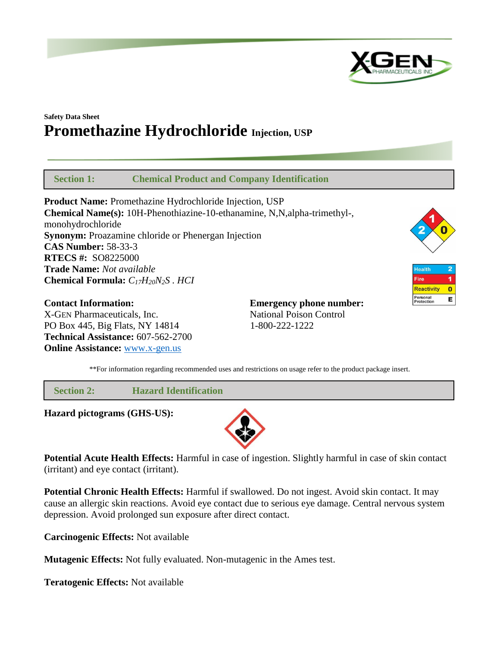

Health

Personal<br>Protection

Fire **Reactivity** 

 $\overline{2}$  $\overline{1}$ 

 $\bullet$ 

E

# **Safety Data Sheet Promethazine Hydrochloride Injection, USP**

 **Section 1: Chemical Product and Company Identification**

**Product Name:** Promethazine Hydrochloride Injection, USP **Chemical Name(s):** 10H-Phenothiazine-10-ethanamine, N,N,alpha-trimethyl-, monohydrochloride **Synonym:** Proazamine chloride or Phenergan Injection **CAS Number:** 58-33-3 **RTECS #:** SO8225000 **Trade Name:** *Not available* **Chemical Formula:** *C17H20N2S . HCI*

**Contact Information: Emergency phone number:** X-GEN Pharmaceuticals, Inc. National Poison Control PO Box 445, Big Flats, NY 14814 1-800-222-1222 **Technical Assistance:** 607-562-2700 **Online Assistance:** [www.x-gen.us](http://www.x-gen.us/)



 **Section 2: Hazard Identification**

**Hazard pictograms (GHS-US):**



**Potential Acute Health Effects:** Harmful in case of ingestion. Slightly harmful in case of skin contact (irritant) and eye contact (irritant).

**Potential Chronic Health Effects:** Harmful if swallowed. Do not ingest. Avoid skin contact. It may cause an allergic skin reactions. Avoid eye contact due to serious eye damage. Central nervous system depression. Avoid prolonged sun exposure after direct contact.

**Carcinogenic Effects:** Not available

**Mutagenic Effects:** Not fully evaluated. Non-mutagenic in the Ames test.

**Teratogenic Effects:** Not available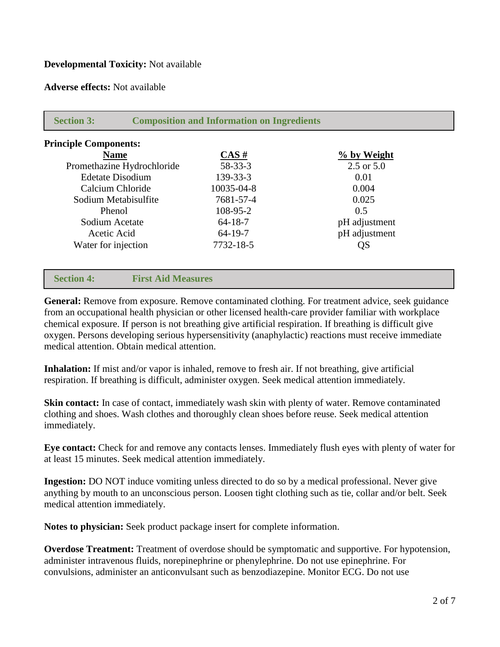# **Developmental Toxicity:** Not available

**Adverse effects:** Not available

| <b>Principle Components:</b> |                    |                       |  |
|------------------------------|--------------------|-----------------------|--|
| <b>Name</b>                  | $\overline{CAS}$ # | % by Weight           |  |
| Promethazine Hydrochloride   | $58 - 33 - 3$      | $2.5 \text{ or } 5.0$ |  |
| <b>Edetate Disodium</b>      | 139-33-3           | 0.01                  |  |
| Calcium Chloride             | 10035-04-8         | 0.004                 |  |
| Sodium Metabisulfite         | 7681-57-4          | 0.025                 |  |
| Phenol                       | 108-95-2           | 0.5                   |  |
| Sodium Acetate               | $64 - 18 - 7$      | pH adjustment         |  |
| Acetic Acid                  | $64 - 19 - 7$      | pH adjustment         |  |
| Water for injection          | 7732-18-5          | QS                    |  |

**General:** Remove from exposure. Remove contaminated clothing. For treatment advice, seek guidance from an occupational health physician or other licensed health-care provider familiar with workplace chemical exposure. If person is not breathing give artificial respiration. If breathing is difficult give oxygen. Persons developing serious hypersensitivity (anaphylactic) reactions must receive immediate medical attention. Obtain medical attention.

**Inhalation:** If mist and/or vapor is inhaled, remove to fresh air. If not breathing, give artificial respiration. If breathing is difficult, administer oxygen. Seek medical attention immediately.

**Skin contact:** In case of contact, immediately wash skin with plenty of water. Remove contaminated clothing and shoes. Wash clothes and thoroughly clean shoes before reuse. Seek medical attention immediately.

**Eye contact:** Check for and remove any contacts lenses. Immediately flush eyes with plenty of water for at least 15 minutes. Seek medical attention immediately.

**Ingestion:** DO NOT induce vomiting unless directed to do so by a medical professional. Never give anything by mouth to an unconscious person. Loosen tight clothing such as tie, collar and/or belt. Seek medical attention immediately.

**Notes to physician:** Seek product package insert for complete information.

**Overdose Treatment:** Treatment of overdose should be symptomatic and supportive. For hypotension, administer intravenous fluids, norepinephrine or phenylephrine. Do not use epinephrine. For convulsions, administer an anticonvulsant such as benzodiazepine. Monitor ECG. Do not use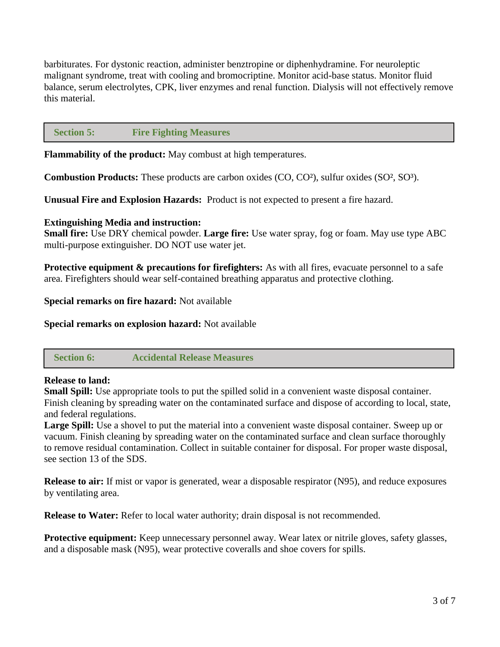barbiturates. For dystonic reaction, administer benztropine or diphenhydramine. For neuroleptic malignant syndrome, treat with cooling and bromocriptine. Monitor acid-base status. Monitor fluid balance, serum electrolytes, CPK, liver enzymes and renal function. Dialysis will not effectively remove this material.

### **Section 5: Fire Fighting Measures**

**Flammability of the product:** May combust at high temperatures.

**Combustion Products:** These products are carbon oxides (CO, CO²), sulfur oxides (SO², SO³).

**Unusual Fire and Explosion Hazards:** Product is not expected to present a fire hazard.

# **Extinguishing Media and instruction:**

**Small fire:** Use DRY chemical powder. **Large fire:** Use water spray, fog or foam. May use type ABC multi-purpose extinguisher. DO NOT use water jet.

**Protective equipment & precautions for firefighters:** As with all fires, evacuate personnel to a safe area. Firefighters should wear self-contained breathing apparatus and protective clothing.

**Special remarks on fire hazard:** Not available

**Special remarks on explosion hazard:** Not available

# **Section 6: Accidental Release Measures**

# **Release to land:**

**Small Spill:** Use appropriate tools to put the spilled solid in a convenient waste disposal container. Finish cleaning by spreading water on the contaminated surface and dispose of according to local, state, and federal regulations.

**Large Spill:** Use a shovel to put the material into a convenient waste disposal container. Sweep up or vacuum. Finish cleaning by spreading water on the contaminated surface and clean surface thoroughly to remove residual contamination. Collect in suitable container for disposal. For proper waste disposal, see section 13 of the SDS.

**Release to air:** If mist or vapor is generated, wear a disposable respirator (N95), and reduce exposures by ventilating area.

**Release to Water:** Refer to local water authority; drain disposal is not recommended.

**Protective equipment:** Keep unnecessary personnel away. Wear latex or nitrile gloves, safety glasses, and a disposable mask (N95), wear protective coveralls and shoe covers for spills.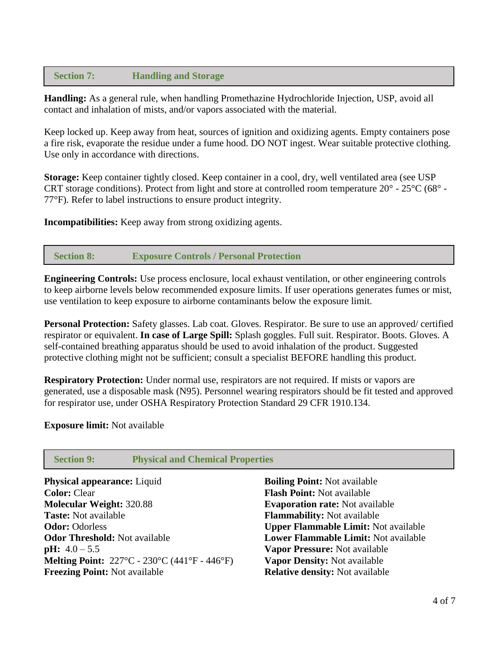# **Section 7: Handling and Storage**

**Handling:** As a general rule, when handling Promethazine Hydrochloride Injection, USP, avoid all contact and inhalation of mists, and/or vapors associated with the material.

Keep locked up. Keep away from heat, sources of ignition and oxidizing agents. Empty containers pose a fire risk, evaporate the residue under a fume hood. DO NOT ingest. Wear suitable protective clothing. Use only in accordance with directions.

**Storage:** Keep container tightly closed. Keep container in a cool, dry, well ventilated area (see USP CRT storage conditions). Protect from light and store at controlled room temperature 20° - 25°C (68° - 77°F). Refer to label instructions to ensure product integrity.

**Incompatibilities:** Keep away from strong oxidizing agents.

# **Section 8: Exposure Controls / Personal Protection**

**Engineering Controls:** Use process enclosure, local exhaust ventilation, or other engineering controls to keep airborne levels below recommended exposure limits. If user operations generates fumes or mist, use ventilation to keep exposure to airborne contaminants below the exposure limit.

**Personal Protection:** Safety glasses. Lab coat. Gloves. Respirator. Be sure to use an approved/ certified respirator or equivalent. **In case of Large Spill:** Splash goggles. Full suit. Respirator. Boots. Gloves. A self-contained breathing apparatus should be used to avoid inhalation of the product. Suggested protective clothing might not be sufficient; consult a specialist BEFORE handling this product.

**Respiratory Protection:** Under normal use, respirators are not required. If mists or vapors are generated, use a disposable mask (N95). Personnel wearing respirators should be fit tested and approved for respirator use, under OSHA Respiratory Protection Standard 29 CFR 1910.134.

#### **Exposure limit:** Not available

# **Section 9: Physical and Chemical Properties**

| <b>Physical appearance:</b> Liquid                                               | <b>Boiling Point:</b> Not available         |
|----------------------------------------------------------------------------------|---------------------------------------------|
| <b>Color: Clear</b>                                                              | <b>Flash Point: Not available</b>           |
| <b>Molecular Weight: 320.88</b>                                                  | <b>Evaporation rate:</b> Not available      |
| <b>Taste:</b> Not available                                                      | <b>Flammability:</b> Not available          |
| <b>Odor: Odorless</b>                                                            | <b>Upper Flammable Limit: Not available</b> |
| <b>Odor Threshold: Not available</b>                                             | <b>Lower Flammable Limit: Not available</b> |
| <b>pH:</b> $4.0 - 5.5$                                                           | Vapor Pressure: Not available               |
| <b>Melting Point:</b> $227^{\circ}C - 230^{\circ}C(441^{\circ}F - 446^{\circ}F)$ | Vapor Density: Not available                |
| <b>Freezing Point: Not available</b>                                             | <b>Relative density:</b> Not available      |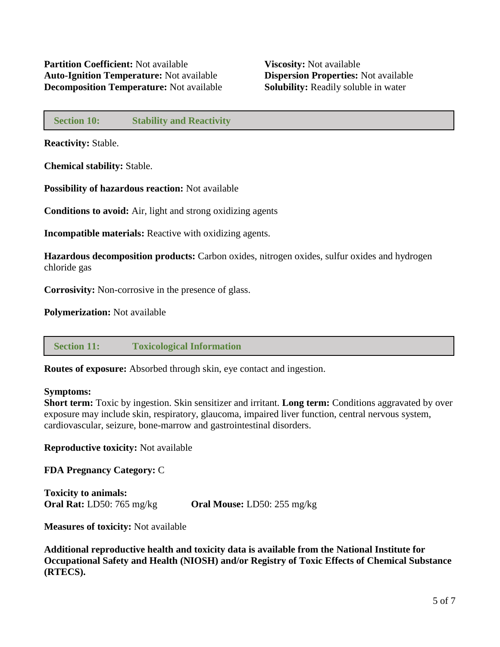# **Section 10: Stability and Reactivity**

**Reactivity:** Stable.

**Chemical stability:** Stable.

**Possibility of hazardous reaction:** Not available

**Conditions to avoid:** Air, light and strong oxidizing agents

**Incompatible materials:** Reactive with oxidizing agents.

**Hazardous decomposition products:** Carbon oxides, nitrogen oxides, sulfur oxides and hydrogen chloride gas

**Corrosivity:** Non-corrosive in the presence of glass.

**Polymerization:** Not available

# **Section 11: Toxicological Information**

**Routes of exposure:** Absorbed through skin, eye contact and ingestion.

# **Symptoms:**

**Short term:** Toxic by ingestion. Skin sensitizer and irritant. **Long term:** Conditions aggravated by over exposure may include skin, respiratory, glaucoma, impaired liver function, central nervous system, cardiovascular, seizure, bone-marrow and gastrointestinal disorders.

**Reproductive toxicity:** Not available

**FDA Pregnancy Category:** C

**Toxicity to animals: Oral Rat:** LD50: 765 mg/kg **Oral Mouse:** LD50: 255 mg/kg

**Measures of toxicity:** Not available

**Additional reproductive health and toxicity data is available from the National Institute for Occupational Safety and Health (NIOSH) and/or Registry of Toxic Effects of Chemical Substance (RTECS).**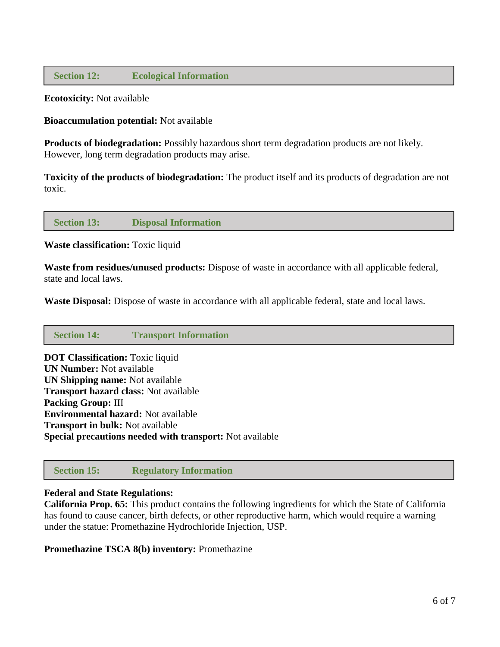# **Section 12: Ecological Information**

**Ecotoxicity:** Not available

**Bioaccumulation potential:** Not available

**Products of biodegradation:** Possibly hazardous short term degradation products are not likely. However, long term degradation products may arise.

**Toxicity of the products of biodegradation:** The product itself and its products of degradation are not toxic.

#### **Section 13: Disposal Information**

**Waste classification:** Toxic liquid

**Waste from residues/unused products:** Dispose of waste in accordance with all applicable federal, state and local laws.

**Waste Disposal:** Dispose of waste in accordance with all applicable federal, state and local laws.

| <b>Section 14:</b> | <b>Transport Information</b> |
|--------------------|------------------------------|
|--------------------|------------------------------|

**DOT Classification:** Toxic liquid **UN Number:** Not available **UN Shipping name:** Not available **Transport hazard class:** Not available **Packing Group:** III **Environmental hazard:** Not available **Transport in bulk:** Not available **Special precautions needed with transport:** Not available

 **Section 15: Regulatory Information**

#### **Federal and State Regulations:**

**California Prop. 65:** This product contains the following ingredients for which the State of California has found to cause cancer, birth defects, or other reproductive harm, which would require a warning under the statue: Promethazine Hydrochloride Injection, USP.

**Promethazine TSCA 8(b) inventory:** Promethazine